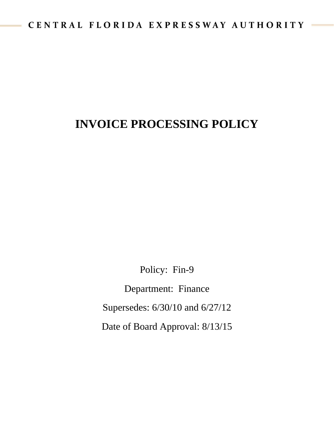# **INVOICE PROCESSING POLICY**

Policy: Fin-9

Department: Finance Supersedes: 6/30/10 and 6/27/12 Date of Board Approval: 8/13/15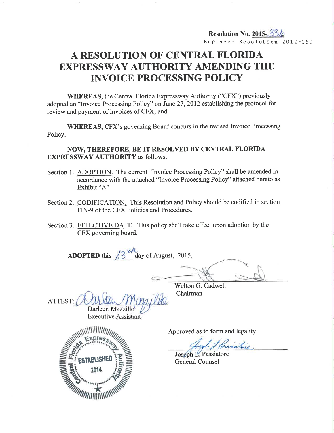# A RESOLUTION OF CENTRAL FLORIDA EXPRESSWAY AUTHORITY AMENDING THE INVOICE PROCESSING POLICY

WHEREAS, the Central Florida Expressway Authority ("CFX") previously adopted an "Invoice Processing Policy" on June 27,2012 establishing the protocol for review and payment of invoices of CFX; and

WHEREAS, CFX's governing Board concurs in the revised Invoice Processing Policy.

## NOW, THEREFORE, BE IT RESOLVED BY CENTRAL FLORIDA EXPRESSWAY AUTHORITY as follows:

- Section 1. ADOPTION. The current "Invoice Processing Policy" shall be amended in accordance with the attached "Invoice Processing Policy" attached hereto as Exhibit "A"
- Section 2. CODIFICATION. This Resolution and Policy should be codified in section FIN-9 of the CFX Policies and Procedures.
- Section 3. EFFECTIVE DATE. This policy shall take effect upon adoption by the CFX goveming board.

**ADOPTED** this  $\frac{13}{4}$  day of August, 2015.

Welton G. Cadwell Chairman

ATTEST: Darleen Mazzillo

**Executive Assistant** 



Approved as to form and legality

Joseph L. Passiatore